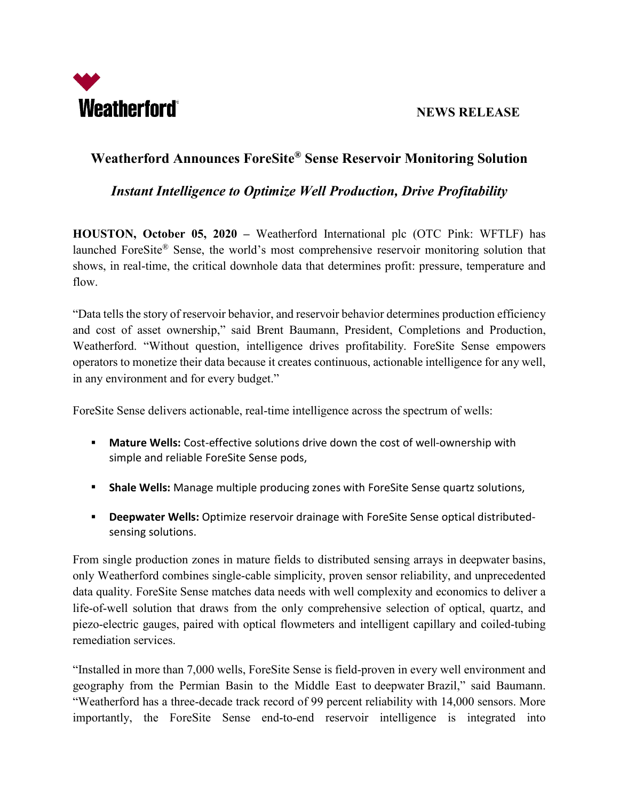

## **NEWS RELEASE**

# **Weatherford Announces ForeSite® Sense Reservoir Monitoring Solution**

## *Instant Intelligence to Optimize Well Production, Drive Profitability*

**HOUSTON, October 05, 2020 –** Weatherford International plc (OTC Pink: WFTLF) has launched ForeSite® Sense, the world's most comprehensive reservoir monitoring solution that shows, in real-time, the critical downhole data that determines profit: pressure, temperature and flow.

"Data tells the story of reservoir behavior, and reservoir behavior determines production efficiency and cost of asset ownership," said Brent Baumann, President, Completions and Production, Weatherford. "Without question, intelligence drives profitability. ForeSite Sense empowers operators to monetize their data because it creates continuous, actionable intelligence for any well, in any environment and for every budget."

ForeSite Sense delivers actionable, real-time intelligence across the spectrum of wells:

- **Mature Wells:** Cost-effective solutions drive down the cost of well-ownership with simple and reliable ForeSite Sense pods,
- **Shale Wells:** Manage multiple producing zones with ForeSite Sense quartz solutions,
- **Deepwater Wells:** Optimize reservoir drainage with ForeSite Sense optical distributedsensing solutions.

From single production zones in mature fields to distributed sensing arrays in deepwater basins, only Weatherford combines single-cable simplicity, proven sensor reliability, and unprecedented data quality. ForeSite Sense matches data needs with well complexity and economics to deliver a life-of-well solution that draws from the only comprehensive selection of optical, quartz, and piezo-electric gauges, paired with optical flowmeters and intelligent capillary and coiled-tubing remediation services.

"Installed in more than 7,000 wells, ForeSite Sense is field-proven in every well environment and geography from the Permian Basin to the Middle East to deepwater Brazil," said Baumann. "Weatherford has a three-decade track record of 99 percent reliability with 14,000 sensors. More importantly, the ForeSite Sense end-to-end reservoir intelligence is integrated into